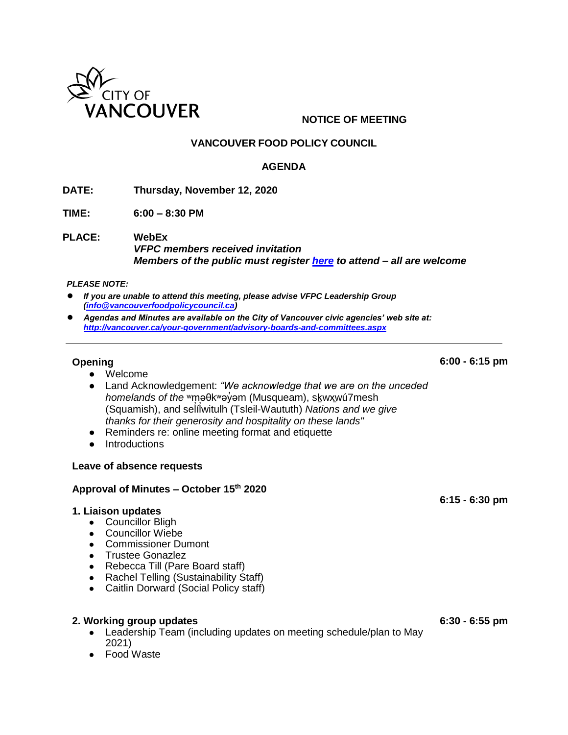

## **NOTICE OF MEETING**

## **VANCOUVER FOOD POLICY COUNCIL**

### **AGENDA**

**DATE: Thursday, November 12, 2020**

**TIME: 6:00 – 8:30 PM** 

**PLACE: WebEx**  *VFPC members received invitation Members of the public must register [here](https://vancouver.webex.com/vancouver/k2/j.php?MTID=t98c073f3d4eb953910f01b5abdc93ff9) to attend – all are welcome*

#### *PLEASE NOTE:*

- If you are unable to attend this meeting, please advise VFPC Leadership Group *[\(info@vancouverfoodpolicycouncil.ca\)](mailto:info@vancouverfoodpolicycouncil.ca)*
- *Agendas and Minutes are available on the City of Vancouver civic agencies' web site at: <http://vancouver.ca/your-government/advisory-boards-and-committees.aspx>*

### **Opening**

**6:00 - 6:15 pm**

- Welcome
- Land Acknowledgement: *"We acknowledge that we are on the unceded homelands of the* <sup>w</sup>məθk<sup>w</sup>əγ̓əm (Musqueam), skwxwú7mesh (Squamish), and selilwitulh (Tsleil-Waututh) Nations and we give ̓ *thanks for their generosity and hospitality on these lands"*
- Reminders re: online meeting format and etiquette
- Introductions

#### **Leave of absence requests**

### **Approval of Minutes – October 15th 2020**

#### **1. Liaison updates**

- Councillor Bligh
- Councillor Wiebe
- Commissioner Dumont
- Trustee Gonazlez
- Rebecca Till (Pare Board staff)
- Rachel Telling (Sustainability Staff)
- Caitlin Dorward (Social Policy staff)

#### **2. Working group updates**

- Leadership Team (including updates on meeting schedule/plan to May 2021)
- **Food Waste**

**6:30 - 6:55 pm**

**6:15 - 6:30 pm**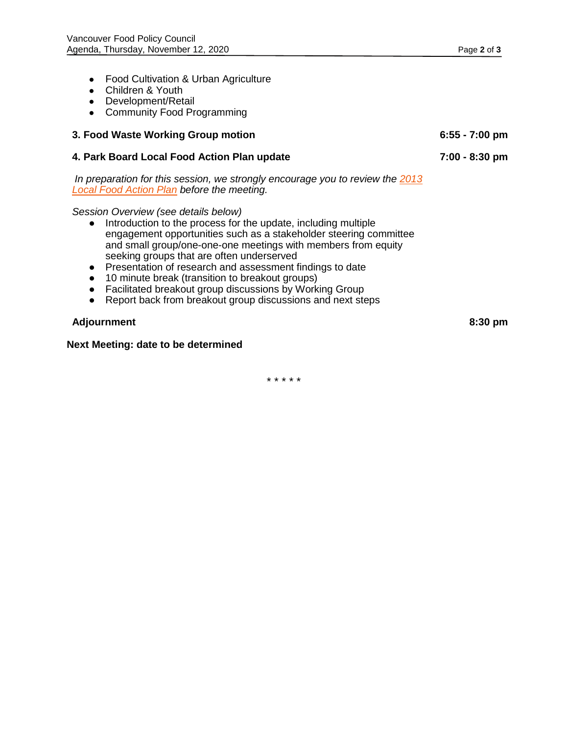- Food Cultivation & Urban Agriculture
- Children & Youth
- Development/Retail
- Community Food Programming

# **3. Food Waste Working Group motion 6:55 - 7:00 pm**

### **4. Park Board Local Food Action Plan update**

*In preparation for this session, we strongly encourage you to review the [2013](https://vancouver.ca/files/cov/Local-food-action-plan.pdf)  [Local Food Action Plan](https://vancouver.ca/files/cov/Local-food-action-plan.pdf) before the meeting.*

*Session Overview (see details below)*

- Introduction to the process for the update, including multiple engagement opportunities such as a stakeholder steering committee and small group/one-one-one meetings with members from equity seeking groups that are often underserved
- Presentation of research and assessment findings to date
- 10 minute break (transition to breakout groups)
- Facilitated breakout group discussions by Working Group
- Report back from breakout group discussions and next steps

### **Adjournment 8:30 pm**

### **Next Meeting: date to be determined**

\* \* \* \* \*

**7:00 - 8:30 pm**